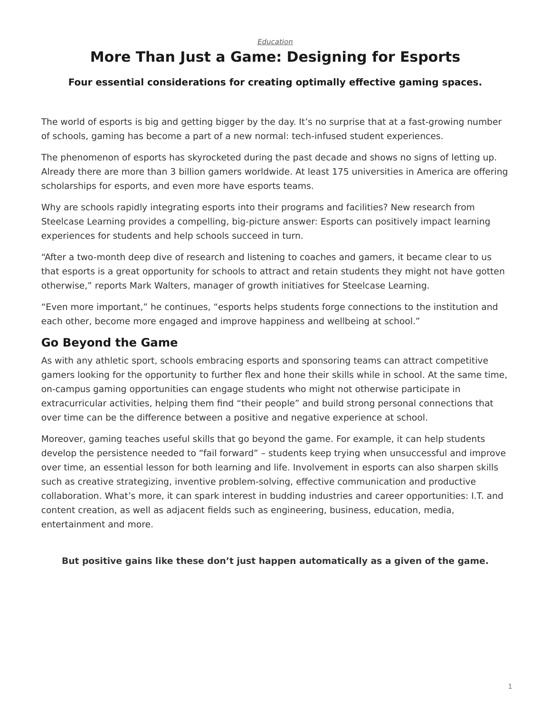#### *[Education](https://www.steelcase.com/research/topics/education/)*

# <span id="page-0-0"></span>**More Than Just a Game: Designing for Esports**

#### **Four essential considerations for creating optimally effective gaming spaces.**

The world of esports is big and getting bigger by the day. It's no surprise that at a fast-growing number of schools, gaming has become a part of a new normal: tech-infused student experiences.

The phenomenon of esports has skyrocketed during the past decade and shows no signs of letting up. Already there are more than 3 billion gamers worldwide. At least 175 universities in America are offering scholarships for esports, and even more have esports teams.

Why are schools rapidly integrating esports into their programs and facilities? New research from Steelcase Learning provides a compelling, big-picture answer: Esports can positively impact learning experiences for students and help schools succeed in turn.

"After a two-month deep dive of research and listening to coaches and gamers, it became clear to us that esports is a great opportunity for schools to attract and retain students they might not have gotten otherwise," reports Mark Walters, manager of growth initiatives for Steelcase Learning.

"Even more important," he continues, "esports helps students forge connections to the institution and each other, become more engaged and improve happiness and wellbeing at school."

## **Go Beyond the Game**

As with any athletic sport, schools embracing esports and sponsoring teams can attract competitive gamers looking for the opportunity to further flex and hone their skills while in school. At the same time, on-campus gaming opportunities can engage students who might not otherwise participate in extracurricular activities, helping them find "their people" and build strong personal connections that over time can be the difference between a positive and negative experience at school.

Moreover, gaming teaches useful skills that go beyond the game. For example, it can help students develop the persistence needed to "fail forward" – students keep trying when unsuccessful and improve over time, an essential lesson for both learning and life. Involvement in esports can also sharpen skills such as creative strategizing, inventive problem-solving, effective communication and productive collaboration. What's more, it can spark interest in budding industries and career opportunities: I.T. and content creation, as well as adjacent fields such as engineering, business, education, media, entertainment and more.

**But positive gains like these don't just happen automatically as a given of the game.**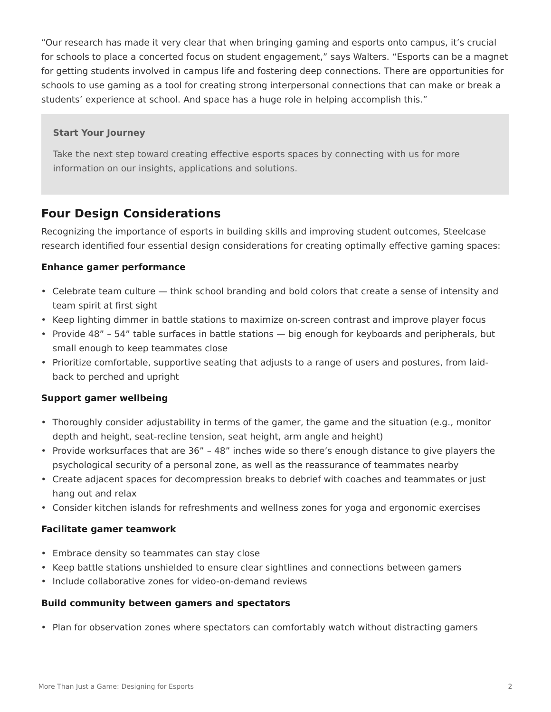"Our research has made it very clear that when bringing gaming and esports onto campus, it's crucial for schools to place a concerted focus on student engagement," says Walters. "Esports can be a magnet for getting students involved in campus life and fostering deep connections. There are opportunities for schools to use gaming as a tool for creating strong interpersonal connections that can make or break a students' experience at school. And space has a huge role in helping accomplish this."

#### **Start Your Journey**

Take the next step toward creating effective esports spaces by connecting with us for more information on our insights, applications and solutions.

### **Four Design Considerations**

Recognizing the importance of esports in building skills and improving student outcomes, Steelcase research identified four essential design considerations for creating optimally effective gaming spaces:

#### **Enhance gamer performance**

- Celebrate team culture think school branding and bold colors that create a sense of intensity and team spirit at first sight
- Keep lighting dimmer in battle stations to maximize on-screen contrast and improve player focus
- Provide 48" 54" table surfaces in battle stations big enough for keyboards and peripherals, but small enough to keep teammates close
- Prioritize comfortable, supportive seating that adjusts to a range of users and postures, from laidback to perched and upright

#### **Support gamer wellbeing**

- Thoroughly consider adjustability in terms of the gamer, the game and the situation (e.g., monitor depth and height, seat-recline tension, seat height, arm angle and height)
- Provide worksurfaces that are 36" 48" inches wide so there's enough distance to give players the psychological security of a personal zone, as well as the reassurance of teammates nearby
- Create adjacent spaces for decompression breaks to debrief with coaches and teammates or just hang out and relax
- Consider kitchen islands for refreshments and wellness zones for yoga and ergonomic exercises

#### **Facilitate gamer teamwork**

- Embrace density so teammates can stay close
- Keep battle stations unshielded to ensure clear sightlines and connections between gamers
- Include collaborative zones for video-on-demand reviews

#### **Build community between gamers and spectators**

• Plan for observation zones where spectators can comfortably watch without distracting gamers